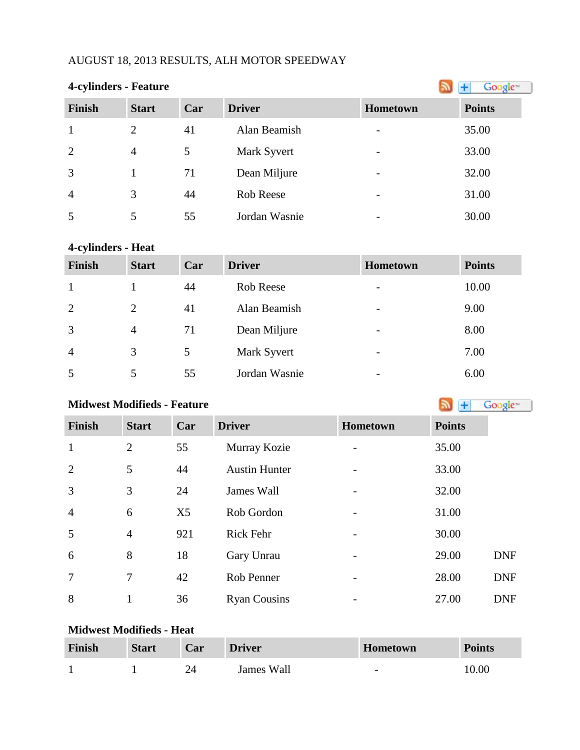## AUGUST 18, 2013 RESULTS, ALH MOTOR SPEEDWAY

## **4-cylinders - Feature**

| $\overline{\phantom{a}}$ |                |     |               |                          |               |
|--------------------------|----------------|-----|---------------|--------------------------|---------------|
| <b>Finish</b>            | <b>Start</b>   | Car | <b>Driver</b> | Hometown                 | <b>Points</b> |
|                          | 2              | 41  | Alan Beamish  |                          | 35.00         |
| 2                        | $\overline{4}$ | 5   | Mark Syvert   |                          | 33.00         |
| 3                        |                | 71  | Dean Miljure  | $\overline{\phantom{a}}$ | 32.00         |
| $\overline{4}$           | 3              | 44  | Rob Reese     | $\overline{\phantom{0}}$ | 31.00         |
| 5                        | 5              | 55  | Jordan Wasnie |                          | 30.00         |

## **4-cylinders - Heat**

| <b>Finish</b>  | <b>Start</b>   | Car | <b>Driver</b> | Hometown                 | <b>Points</b> |
|----------------|----------------|-----|---------------|--------------------------|---------------|
|                |                | 44  | Rob Reese     | $\overline{\phantom{0}}$ | 10.00         |
| 2              | 2              | 41  | Alan Beamish  | $\overline{\phantom{0}}$ | 9.00          |
| 3              | $\overline{4}$ | 71  | Dean Miljure  | $\overline{\phantom{0}}$ | 8.00          |
| $\overline{4}$ | 3              | 5   | Mark Syvert   | $\overline{\phantom{0}}$ | 7.00          |
| 5              |                | 55  | Jordan Wasnie | $\overline{\phantom{0}}$ | 6.00          |

## **MidwestModifieds - Feature All and Society Coolers All and Society Coolers All and Society Coolers All and Society All and Society All and Society All and Society All and Society All and Society All and Society All and**

| <b>Finish</b>  | <b>Start</b>   | Car            | <b>Driver</b>        | <b>Hometown</b>          | <b>Points</b> |
|----------------|----------------|----------------|----------------------|--------------------------|---------------|
| $\mathbf{1}$   | $\overline{2}$ | 55             | Murray Kozie         |                          | 35.00         |
| 2              | 5              | 44             | <b>Austin Hunter</b> |                          | 33.00         |
| 3              | 3              | 24             | James Wall           |                          | 32.00         |
| $\overline{4}$ | 6              | X <sub>5</sub> | Rob Gordon           |                          | 31.00         |
| 5              | $\overline{4}$ | 921            | Rick Fehr            | -                        | 30.00         |
| 6              | 8              | 18             | Gary Unrau           |                          | 29.00         |
| $\overline{7}$ | $\tau$         | 42             | Rob Penner           | $\overline{\phantom{0}}$ | 28.00         |
| 8              |                | 36             | <b>Ryan Cousins</b>  |                          | 27.00         |

#### **Midwest Modifieds - Heat**

| Finish | <b>Start</b> | Car | <b>Driver</b> | <b>Hometown</b>          | <b>Points</b> |
|--------|--------------|-----|---------------|--------------------------|---------------|
|        |              |     | James Wall    | $\overline{\phantom{0}}$ | 10.00         |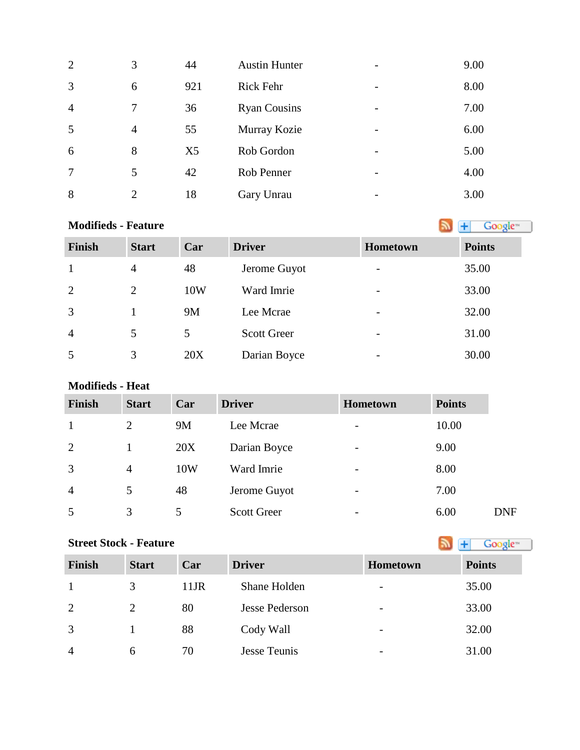| 2              | 3              | 44             | <b>Austin Hunter</b> | $\overline{\phantom{a}}$ | 9.00 |
|----------------|----------------|----------------|----------------------|--------------------------|------|
| 3              | 6              | 921            | <b>Rick Fehr</b>     | $\overline{\phantom{a}}$ | 8.00 |
| $\overline{4}$ |                | 36             | <b>Ryan Cousins</b>  | $\overline{\phantom{a}}$ | 7.00 |
| 5              | $\overline{4}$ | 55             | Murray Kozie         | $\overline{\phantom{a}}$ | 6.00 |
| 6              | 8              | X <sub>5</sub> | Rob Gordon           | $\overline{\phantom{m}}$ | 5.00 |
| $\overline{7}$ | 5              | 42             | Rob Penner           | $\overline{\phantom{a}}$ | 4.00 |
| 8              | $\overline{2}$ | 18             | Gary Unrau           | $\overline{\phantom{a}}$ | 3.00 |

| <b>Modifieds - Feature</b> |                |     |                    |                          | Google <sup>-1</sup> |
|----------------------------|----------------|-----|--------------------|--------------------------|----------------------|
| <b>Finish</b>              | <b>Start</b>   | Car | <b>Driver</b>      | Hometown                 | <b>Points</b>        |
| $\mathbf{1}$               | $\overline{4}$ | 48  | Jerome Guyot       | $\overline{\phantom{0}}$ | 35.00                |
| 2                          | $\overline{2}$ | 10W | Ward Imrie         | $\overline{\phantom{0}}$ | 33.00                |
| 3                          |                | 9M  | Lee Mcrae          |                          | 32.00                |
| $\overline{4}$             | 5              | 5   | <b>Scott Greer</b> |                          | 31.00                |
| 5                          | 3              | 20X | Darian Boyce       |                          | 30.00                |

### **Modifieds - Heat**

| <b>Finish</b>  | <b>Start</b>   | Car | <b>Driver</b>      | Hometown                 | <b>Points</b> |            |
|----------------|----------------|-----|--------------------|--------------------------|---------------|------------|
|                | $\overline{2}$ | 9M  | Lee Mcrae          | $\overline{\phantom{a}}$ | 10.00         |            |
| $\overline{2}$ |                | 20X | Darian Boyce       | $\overline{\phantom{0}}$ | 9.00          |            |
| 3              | $\overline{4}$ | 10W | Ward Imrie         | $\overline{\phantom{a}}$ | 8.00          |            |
| $\overline{4}$ | 5              | 48  | Jerome Guyot       | $\overline{\phantom{0}}$ | 7.00          |            |
| 5              | 3              | 5   | <b>Scott Greer</b> | $\overline{\phantom{0}}$ | 6.00          | <b>DNF</b> |

# **Street Stock - Feature**

| Finish         | <b>Start</b> | Car     | <b>Driver</b>  | <b>Hometown</b>          | <b>Points</b> |
|----------------|--------------|---------|----------------|--------------------------|---------------|
|                | 3            | $11$ JR | Shane Holden   | $\overline{\phantom{a}}$ | 35.00         |
| 2              | 2            | 80      | Jesse Pederson | $\overline{\phantom{a}}$ | 33.00         |
| 3              |              | 88      | Cody Wall      | $\overline{\phantom{a}}$ | 32.00         |
| $\overline{4}$ | 6            | 70      | Jesse Teunis   | $\overline{\phantom{0}}$ | 31.00         |